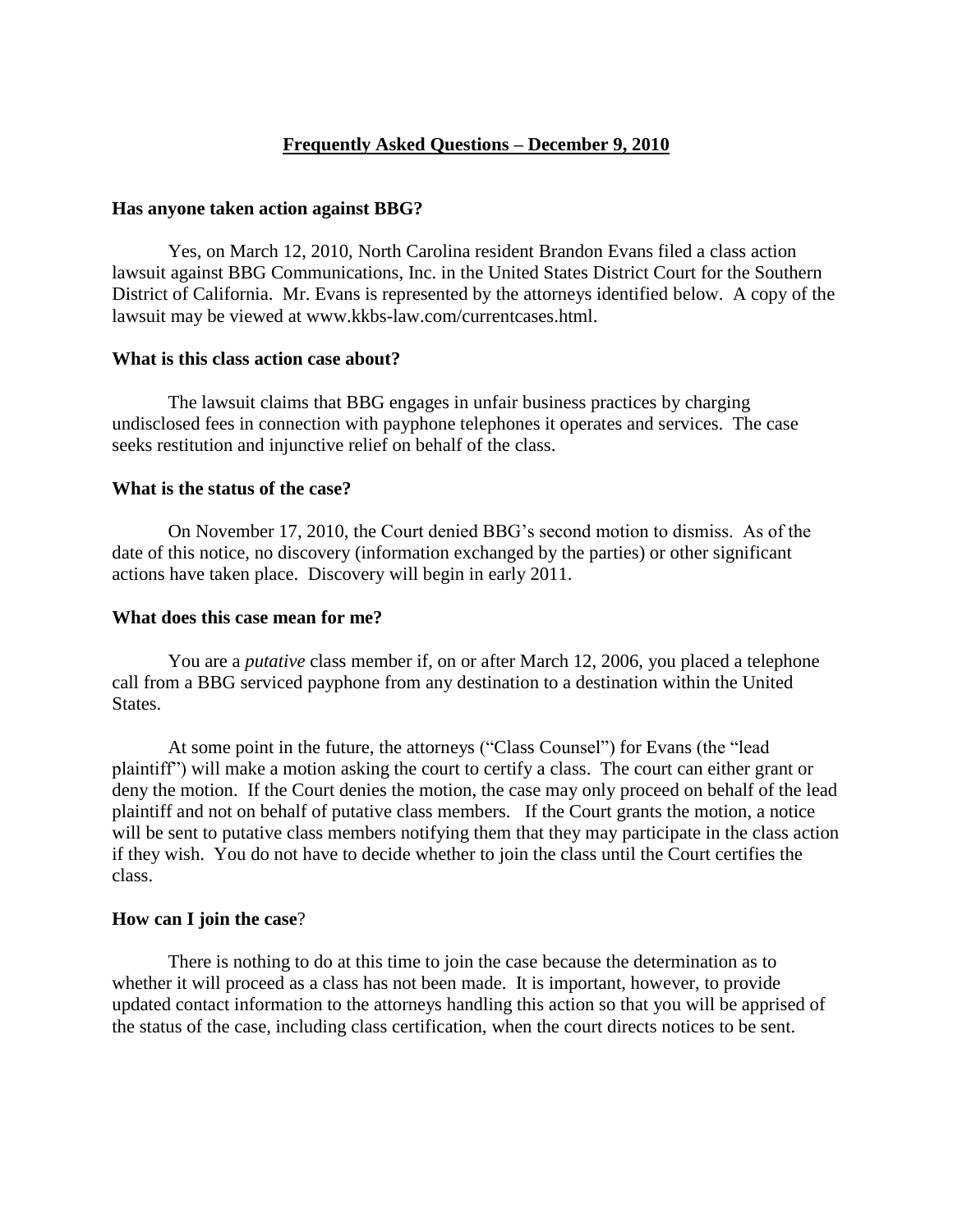## **Frequently Asked Questions – December 9, 2010**

#### **Has anyone taken action against BBG?**

Yes, on March 12, 2010, North Carolina resident Brandon Evans filed a class action lawsuit against BBG Communications, Inc. in the United States District Court for the Southern District of California. Mr. Evans is represented by the attorneys identified below. A copy of the lawsuit may be viewed at www.kkbs-law.com/currentcases.html.

## **What is this class action case about?**

The lawsuit claims that BBG engages in unfair business practices by charging undisclosed fees in connection with payphone telephones it operates and services. The case seeks restitution and injunctive relief on behalf of the class.

## **What is the status of the case?**

On November 17, 2010, the Court denied BBG's second motion to dismiss. As of the date of this notice, no discovery (information exchanged by the parties) or other significant actions have taken place. Discovery will begin in early 2011.

### **What does this case mean for me?**

You are a *putative* class member if, on or after March 12, 2006, you placed a telephone call from a BBG serviced payphone from any destination to a destination within the United States.

At some point in the future, the attorneys ("Class Counsel") for Evans (the "lead plaintiff") will make a motion asking the court to certify a class. The court can either grant or deny the motion. If the Court denies the motion, the case may only proceed on behalf of the lead plaintiff and not on behalf of putative class members. If the Court grants the motion, a notice will be sent to putative class members notifying them that they may participate in the class action if they wish. You do not have to decide whether to join the class until the Court certifies the class.

#### **How can I join the case**?

There is nothing to do at this time to join the case because the determination as to whether it will proceed as a class has not been made. It is important, however, to provide updated contact information to the attorneys handling this action so that you will be apprised of the status of the case, including class certification, when the court directs notices to be sent.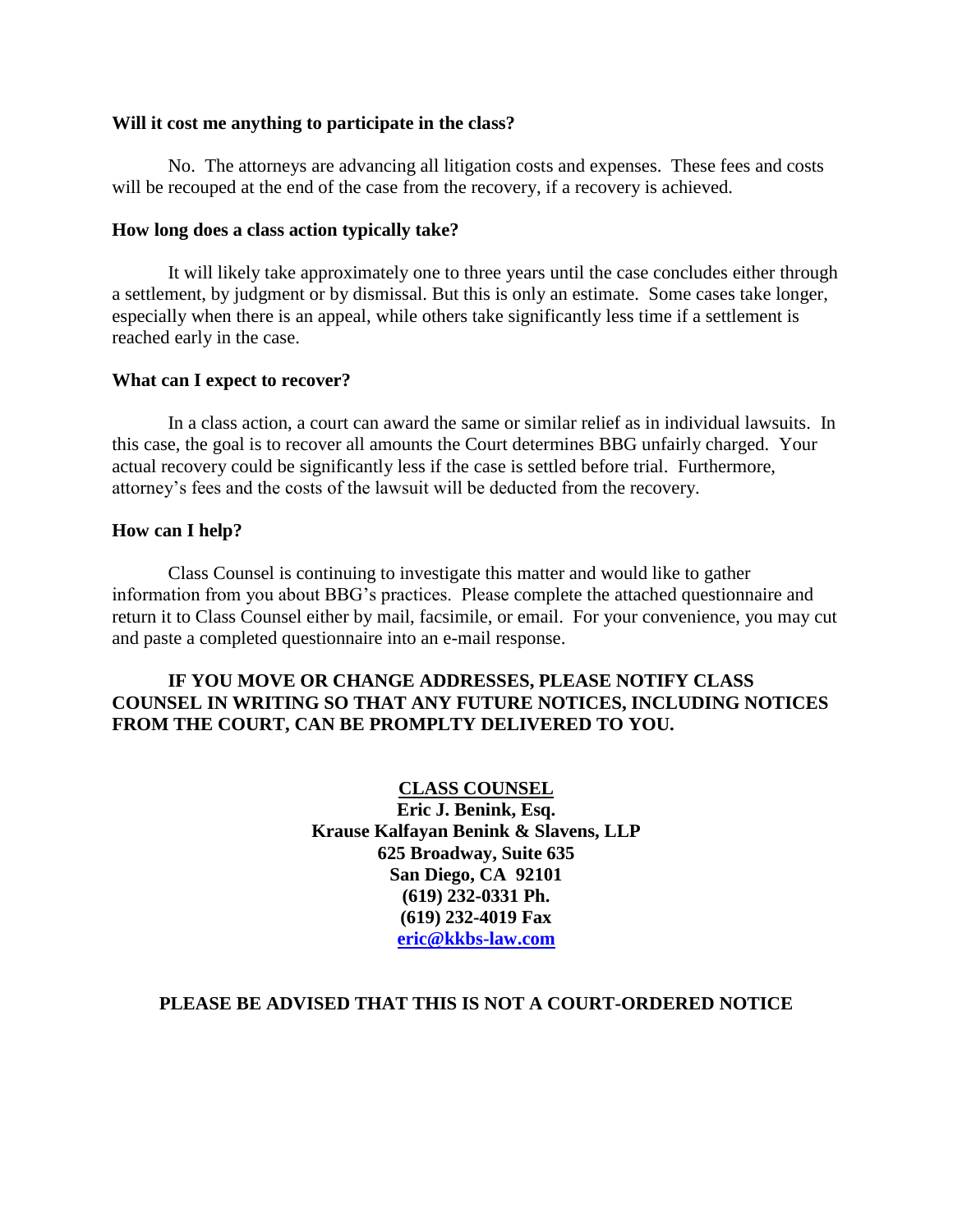#### **Will it cost me anything to participate in the class?**

No. The attorneys are advancing all litigation costs and expenses. These fees and costs will be recouped at the end of the case from the recovery, if a recovery is achieved.

#### **How long does a class action typically take?**

It will likely take approximately one to three years until the case concludes either through a settlement, by judgment or by dismissal. But this is only an estimate. Some cases take longer, especially when there is an appeal, while others take significantly less time if a settlement is reached early in the case.

#### **What can I expect to recover?**

In a class action, a court can award the same or similar relief as in individual lawsuits. In this case, the goal is to recover all amounts the Court determines BBG unfairly charged. Your actual recovery could be significantly less if the case is settled before trial. Furthermore, attorney's fees and the costs of the lawsuit will be deducted from the recovery.

#### **How can I help?**

Class Counsel is continuing to investigate this matter and would like to gather information from you about BBG's practices. Please complete the attached questionnaire and return it to Class Counsel either by mail, facsimile, or email. For your convenience, you may cut and paste a completed questionnaire into an e-mail response.

## **IF YOU MOVE OR CHANGE ADDRESSES, PLEASE NOTIFY CLASS COUNSEL IN WRITING SO THAT ANY FUTURE NOTICES, INCLUDING NOTICES FROM THE COURT, CAN BE PROMPLTY DELIVERED TO YOU.**

**CLASS COUNSEL Eric J. Benink, Esq. Krause Kalfayan Benink & Slavens, LLP 625 Broadway, Suite 635 San Diego, CA 92101 (619) 232-0331 Ph. (619) 232-4019 Fax [eric@kkbs-law.com](mailto:eric@kkbs-law.com)**

#### **PLEASE BE ADVISED THAT THIS IS NOT A COURT-ORDERED NOTICE**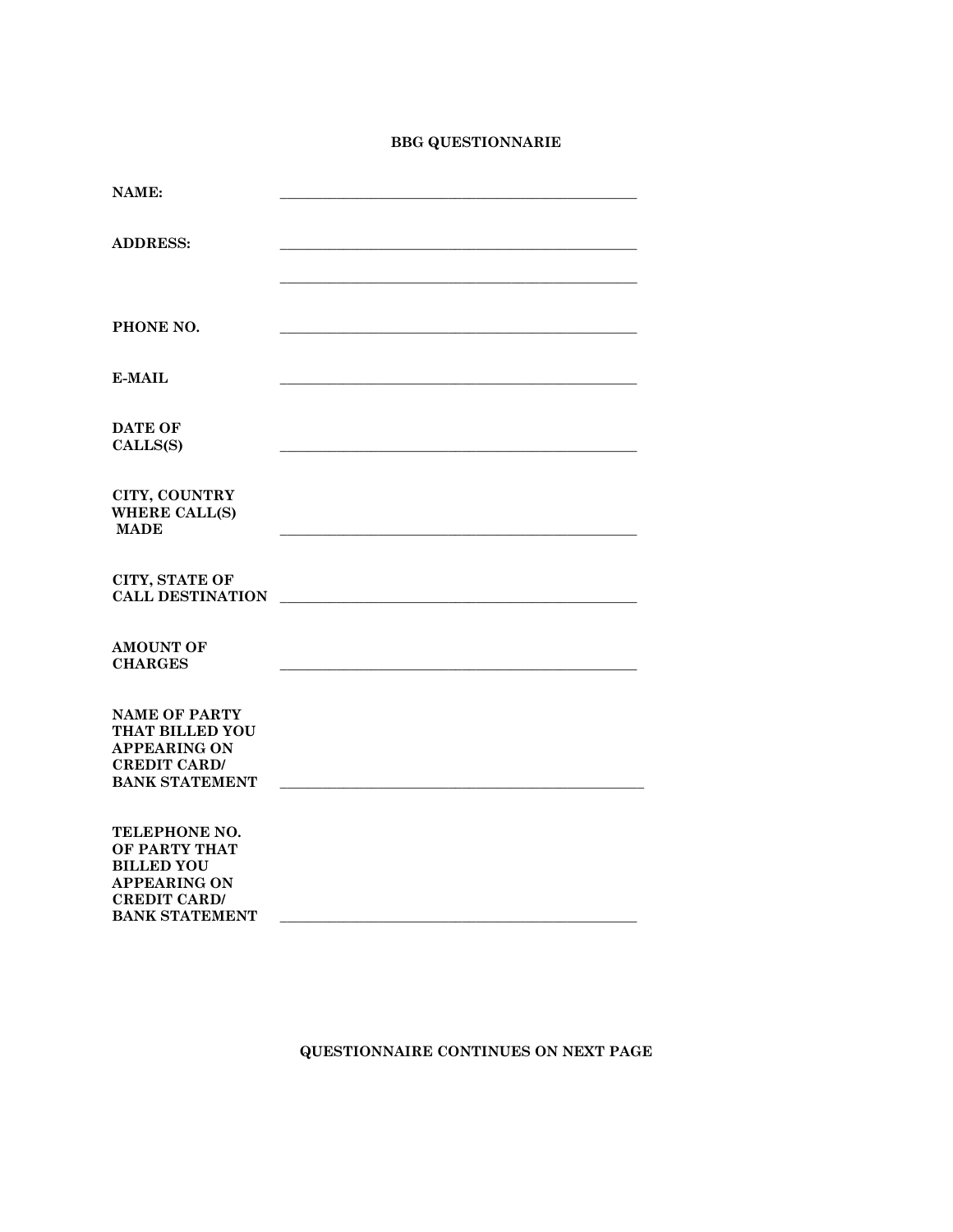# **BBG QUESTIONNARIE**

| NAME:                                     |  |
|-------------------------------------------|--|
|                                           |  |
|                                           |  |
| <b>ADDRESS:</b>                           |  |
|                                           |  |
|                                           |  |
|                                           |  |
| PHONE NO.                                 |  |
|                                           |  |
|                                           |  |
| <b>E-MAIL</b>                             |  |
|                                           |  |
|                                           |  |
| <b>DATE OF</b>                            |  |
| CALLS(S)                                  |  |
|                                           |  |
| CITY, COUNTRY                             |  |
| <b>WHERE CALL(S)</b>                      |  |
| <b>MADE</b>                               |  |
|                                           |  |
|                                           |  |
| CITY, STATE OF<br><b>CALL DESTINATION</b> |  |
|                                           |  |
|                                           |  |
| <b>AMOUNT OF</b>                          |  |
| <b>CHARGES</b>                            |  |
|                                           |  |
| <b>NAME OF PARTY</b>                      |  |
| THAT BILLED YOU                           |  |
| <b>APPEARING ON</b>                       |  |
| <b>CREDIT CARD/</b>                       |  |
| <b>BANK STATEMENT</b>                     |  |
|                                           |  |
|                                           |  |
| TELEPHONE NO.<br>OF PARTY THAT            |  |
| <b>BILLED YOU</b>                         |  |
| <b>APPEARING ON</b>                       |  |
| <b>CREDIT CARD/</b>                       |  |
| <b>BANK STATEMENT</b>                     |  |
|                                           |  |

# **QUESTIONNAIRE CONTINUES ON NEXT PAGE**